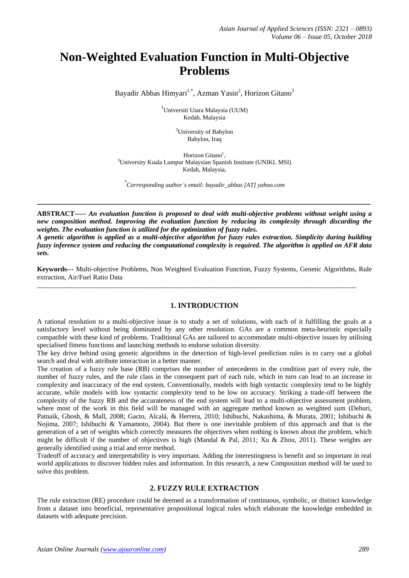# **Non-Weighted Evaluation Function in Multi-Objective Problems**

Bayadir Abbas Himyari<sup>1,\*</sup>, Azman Yasin<sup>2</sup>, Horizon Gitano<sup>3</sup>

1 Universiti Utara Malaysia (UUM) Kedah, Malaysia

> <sup>2</sup>University of Babylon Babylon, Iraq

Horizon Gitano<sup>c</sup>, <sup>3</sup>University Kuala Lumpur Malaysian Spanish Institute (UNIKL MSI) Kedah, Malaysia,

*\* Corresponding author's email: bayadir\_abbas [AT] yahoo.com*

**\_\_\_\_\_\_\_\_\_\_\_\_\_\_\_\_\_\_\_\_\_\_\_\_\_\_\_\_\_\_\_\_\_\_\_\_\_\_\_\_\_\_\_\_\_\_\_\_\_\_\_\_\_\_\_\_\_\_\_\_\_\_\_\_\_\_\_\_\_\_\_\_\_\_\_\_\_\_\_\_\_**

**ABSTRACT-----** *An evaluation function is proposed to deal with multi-objective problems without weight using a new composition method. Improving the evaluation function by reducing its complexity through discarding the weights. The evaluation function is utilized for the optimization of fuzzy rules.* 

*A genetic algorithm is applied as a multi-objective algorithm for fuzzy rules extraction. Simplicity during building fuzzy inference system and reducing the computational complexity is required. The algorithm is applied on AFR data sets.*

**Keywords---** Multi-objective Problems, Non Weighted Evaluation Function, Fuzzy Systems, Genetic Algorithms, Rule extraction, Air/Fuel Ratio Data

\_\_\_\_\_\_\_\_\_\_\_\_\_\_\_\_\_\_\_\_\_\_\_\_\_\_\_\_\_\_\_\_\_\_\_\_\_\_\_\_\_\_\_\_\_\_\_\_\_\_\_\_\_\_\_\_\_\_\_\_\_\_\_\_\_\_\_\_\_\_\_\_\_\_\_\_\_\_\_\_\_\_\_\_\_\_\_\_\_\_\_\_\_

## **1. INTRODUCTION**

A rational resolution to a multi-objective issue is to study a set of solutions, with each of it fulfilling the goals at a satisfactory level without being dominated by any other resolution. GAs are a common meta-heuristic especially compatible with these kind of problems. Traditional GAs are tailored to accommodate multi-objective issues by utilising specialised fitness functions and launching methods to endorse solution diversity.

The key drive behind using genetic algorithms in the detection of high-level prediction rules is to carry out a global search and deal with attribute interaction in a better manner.

The creation of a fuzzy rule base (RB) comprises the number of antecedents in the condition part of every rule, the number of fuzzy rules, and the rule class in the consequent part of each rule, which in turn can lead to an increase in complexity and inaccuracy of the end system. Conventionally, models with high syntactic complexity tend to be highly accurate, while models with low syntactic complexity tend to be low on accuracy. Striking a trade-off between the complexity of the fuzzy RB and the accurateness of the end system will lead to a multi-objective assessment problem, where most of the work in this field will be managed with an aggregate method known as weighted sum [\(Dehuri,](#page-6-0)  [Patnaik, Ghosh, & Mall, 2008;](#page-6-0) [Gacto, Alcalá, & Herrera, 2010;](#page-6-1) [Ishibuchi, Nakashima, & Murata, 2001;](#page-6-2) [Ishibuchi &](#page-7-0)  [Nojima, 2007;](#page-7-0) [Ishibuchi & Yamamoto, 2004\)](#page-7-1). But there is one inevitable problem of this approach and that is the generation of a set of weights which correctly measures the objectives when nothing is known about the problem, which might be difficult if the number of objectives is high [\(Mandal & Pal, 2011;](#page-7-2) [Xu & Zhou, 2011\)](#page-7-3). These weights are generally identified using a trial and error method.

Tradeoff of accuracy and interpretability is very important. Adding the interestingness is benefit and so important in real world applications to discover hidden rules and information. In this research, a new Composition method will be used to solve this problem.

## **2. FUZZY RULE EXTRACTION**

The rule extraction (RE) procedure could be deemed as a transformation of continuous, symbolic, or distinct knowledge from a dataset into beneficial, representative propositional logical rules which elaborate the knowledge embedded in datasets with adequate precision.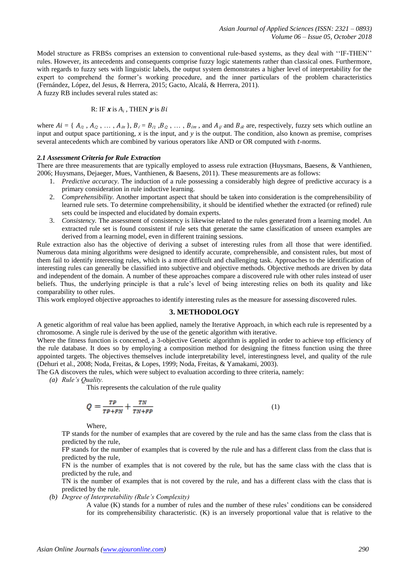Model structure as FRBSs comprises an extension to conventional rule-based systems, as they deal with ''IF-THEN'' rules. However, its antecedents and consequents comprise fuzzy logic statements rather than classical ones. Furthermore, with regards to fuzzy sets with linguistic labels, the output system demonstrates a higher level of interpretability for the expert to comprehend the former's working procedure, and the inner particulars of the problem characteristics [\(Fernández, López, del Jesus, &](#page-6-3) Herrera, 2015; [Gacto, Alcalá, & Herrera, 2011\)](#page-6-4).

A fuzzy RB includes several rules stated as:

#### R: IF  $\boldsymbol{x}$  is  $A_i$ , THEN  $\boldsymbol{y}$  is

where  $Ai = \{A_{i1}, A_{i2}, \ldots, A_{in}\}, B_i = B_{i1}, B_{i2}, \ldots, B_{im}$ , and  $A_{i}$  and  $B_{ik}$  are, respectively, fuzzy sets which outline an input and output space partitioning, *x* is the input, and *y* is the output. The condition, also known as premise, comprises several antecedents which are combined by various operators like AND or OR computed with -norms.

#### *2.1 Assessment Criteria for Rule Extraction*

There are three measurements that are typically employed to assess rule extraction (Huysmans, Baesens, & Vanthienen, [2006;](#page-6-5) [Huysmans, Dejaeger, Mues, Vanthienen, & Baesens, 2011\)](#page-6-6). These measurements are as follows:

- 1. *Predictive accuracy*. The induction of a rule possessing a considerably high degree of predictive accuracy is a primary consideration in rule inductive learning.
- 2. *Comprehensibility.* Another important aspect that should be taken into consideration is the comprehensibility of learned rule sets. To determine comprehensibility, it should be identified whether the extracted (or refined) rule sets could be inspected and elucidated by domain experts.
- 3. *Consistency.* The assessment of consistency is likewise related to the rules generated from a learning model. An extracted rule set is found consistent if rule sets that generate the same classification of unseen examples are derived from a learning model, even in different training sessions.

Rule extraction also has the objective of deriving a subset of interesting rules from all those that were identified. Numerous data mining algorithms were designed to identify accurate, comprehensible, and consistent rules, but most of them fail to identify interesting rules, which is a more difficult and challenging task. Approaches to the identification of interesting rules can generally be classified into subjective and objective methods. Objective methods are driven by data and independent of the domain. A number of these approaches compare a discovered rule with other rules instead of user beliefs. Thus, the underlying principle is that a rule's level of being interesting relies on both its quality and like comparability to other rules.

This work employed objective approaches to identify interesting rules as the measure for assessing discovered rules.

#### **3. METHODOLOGY**

A genetic algorithm of real value has been applied, namely the Iterative Approach, in which each rule is represented by a chromosome. A single rule is derived by the use of the genetic algorithm with iterative.

Where the fitness function is concerned, a 3-objective Genetic algorithm is applied in order to achieve top efficiency of the rule database. It does so by employing a composition method for designing the fitness function using the three appointed targets. The objectives themselves include interpretability level, interestingness level, and quality of the rule [\(Dehuri et al., 2008;](#page-6-0) [Noda, Freitas, &](#page-7-4) Lopes, 1999; [Noda, Freitas, & Yamakami, 2003\)](#page-7-5).

The GA discovers the rules, which were subject to evaluation according to three criteria, namely:

*(a) Rule's Quality.* 

This represents the calculation of the rule quality

$$
Q = \frac{TP}{TP+FN} + \frac{TN}{TN+FP} \tag{1}
$$

**Where** 

TP stands for the number of examples that are covered by the rule and has the same class from the class that is predicted by the rule,

FP stands for the number of examples that is covered by the rule and has a different class from the class that is predicted by the rule,

FN is the number of examples that is not covered by the rule, but has the same class with the class that is predicted by the rule, and

TN is the number of examples that is not covered by the rule, and has a different class with the class that is predicted by the rule.

*(b) Degree of Interpretability (Rule's Complexity)*

A value (K) stands for a number of rules and the number of these rules' conditions can be considered for its comprehensibility characteristic. (K) is an inversely proportional value that is relative to the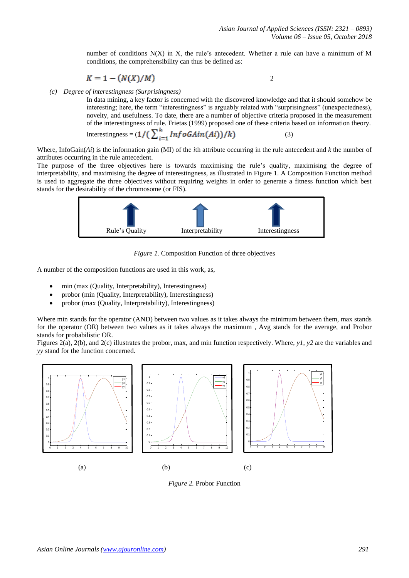number of conditions  $N(X)$  in X, the rule's antecedent. Whether a rule can have a minimum of M conditions, the comprehensibility can thus be defined as:

$$
K=1-(N(X)/M)
$$

2

*(c) Degree of interestingness (Surprisingness)*

In data mining, a key factor is concerned with the discovered knowledge and that it should somehow be interesting; here, the term "interestingness" is arguably related with "surprisingness" (unexpectedness), novelty, and usefulness. To date, there are a number of objective criteria proposed in the measurement of the interestingness of rule. Frietas (1999) proposed one of these criteria based on information theory.

$$
Interestingness = (1/(\sum_{i=1}^{n} Inf \, oG A in(Ai))/k)
$$
\n(3)

Where, InfoGain(*Ai*) is the information gain (MI) of the *i*th attribute occurring in the rule antecedent and *k* the number of attributes occurring in the rule antecedent.

The purpose of the three objectives here is towards maximising the rule's quality, maximising the degree of interpretability, and maximising the degree of interestingness, as illustrated in Figure 1. A Composition Function method is used to aggregate the three objectives without requiring weights in order to generate a fitness function which best stands for the desirability of the chromosome (or FIS).



*Figure 1.* Composition Function of three objectives

A number of the composition functions are used in this work, as,

- min (max (Quality, Interpretability), Interestingness)
- probor (min (Quality, Interpretability), Interestingness)
- probor (max (Quality, Interpretability), Interestingness)

Where min stands for the operator (AND) between two values as it takes always the minimum between them, max stands for the operator (OR) between two values as it takes always the maximum , Avg stands for the average, and Probor stands for probabilistic OR.

Figures 2(a), 2(b), and 2(c) illustrates the probor, max, and min function respectively. Where, *y1*, *y2* are the variables and *yy* stand for the function concerned.



*Figure 2.* Probor Function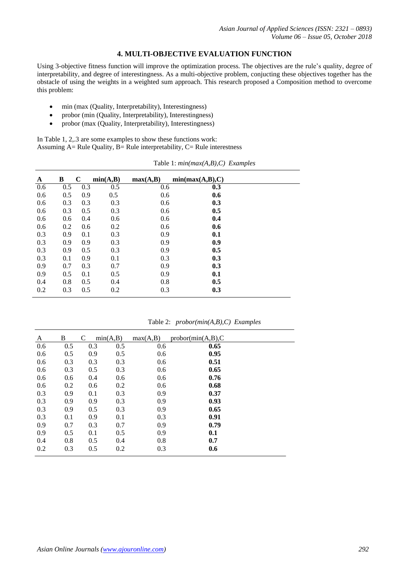# **4. MULTI-OBJECTIVE EVALUATION FUNCTION**

Using 3-objective fitness function will improve the optimization process. The objectives are the rule's quality, degree of interpretability, and degree of interestingness. As a multi-objective problem, conjucting these objectives together has the obstacle of using the weights in a weighted sum approach. This research proposed a Composition method to overcome this problem:

- min (max (Quality, Interpretability), Interestingness)
- probor (min (Quality, Interpretability), Interestingness)
- probor (max (Quality, Interpretability), Interestingness)

In Table 1, 2,.3 are some examples to show these functions work: Assuming  $A=$  Rule Quality,  $B=$  Rule interpretability,  $C=$  Rule interestness

| A   | B   | $\mathbf C$ | min(A,B) | max(A,B) | min(max(A,B),C) |
|-----|-----|-------------|----------|----------|-----------------|
| 0.6 | 0.5 | 0.3         | 0.5      | 0.6      | 0.3             |
| 0.6 | 0.5 | 0.9         | 0.5      | 0.6      | 0.6             |
| 0.6 | 0.3 | 0.3         | 0.3      | 0.6      | 0.3             |
| 0.6 | 0.3 | 0.5         | 0.3      | 0.6      | 0.5             |
| 0.6 | 0.6 | 0.4         | 0.6      | 0.6      | 0.4             |
| 0.6 | 0.2 | 0.6         | 0.2      | 0.6      | 0.6             |
| 0.3 | 0.9 | 0.1         | 0.3      | 0.9      | 0.1             |
| 0.3 | 0.9 | 0.9         | 0.3      | 0.9      | 0.9             |
| 0.3 | 0.9 | 0.5         | 0.3      | 0.9      | 0.5             |
| 0.3 | 0.1 | 0.9         | 0.1      | 0.3      | 0.3             |
| 0.9 | 0.7 | 0.3         | 0.7      | 0.9      | 0.3             |
| 0.9 | 0.5 | 0.1         | 0.5      | 0.9      | 0.1             |
| 0.4 | 0.8 | 0.5         | 0.4      | 0.8      | 0.5             |
| 0.2 | 0.3 | 0.5         | 0.2      | 0.3      | 0.3             |

Table 1: *min(max(A,B),C) Examples*

Table 2: *probor(min(A,B),C) Examples*

| A   | B   | C   | min(A,B) | max(A,B) | probor(min(A,B),C) |  |
|-----|-----|-----|----------|----------|--------------------|--|
| 0.6 | 0.5 | 0.3 | 0.5      | 0.6      | 0.65               |  |
| 0.6 | 0.5 | 0.9 | 0.5      | 0.6      | 0.95               |  |
| 0.6 | 0.3 | 0.3 | 0.3      | 0.6      | 0.51               |  |
| 0.6 | 0.3 | 0.5 | 0.3      | 0.6      | 0.65               |  |
| 0.6 | 0.6 | 0.4 | 0.6      | 0.6      | 0.76               |  |
| 0.6 | 0.2 | 0.6 | 0.2      | 0.6      | 0.68               |  |
| 0.3 | 0.9 | 0.1 | 0.3      | 0.9      | 0.37               |  |
| 0.3 | 0.9 | 0.9 | 0.3      | 0.9      | 0.93               |  |
| 0.3 | 0.9 | 0.5 | 0.3      | 0.9      | 0.65               |  |
| 0.3 | 0.1 | 0.9 | 0.1      | 0.3      | 0.91               |  |
| 0.9 | 0.7 | 0.3 | 0.7      | 0.9      | 0.79               |  |
| 0.9 | 0.5 | 0.1 | 0.5      | 0.9      | 0.1                |  |
| 0.4 | 0.8 | 0.5 | 0.4      | 0.8      | 0.7                |  |
| 0.2 | 0.3 | 0.5 | 0.2      | 0.3      | 0.6                |  |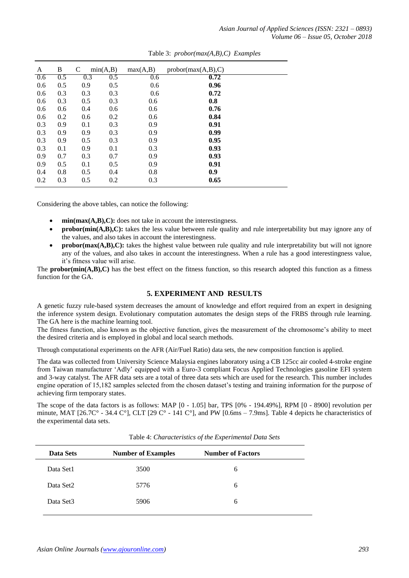| A   | В                | C                | min(A,B) | max(A,B) | probor(max(A,B),C) |  |
|-----|------------------|------------------|----------|----------|--------------------|--|
| 0.6 | $\overline{0.5}$ | $\overline{0.3}$ | 0.5      | 0.6      | 0.72               |  |
| 0.6 | 0.5              | 0.9              | 0.5      | 0.6      | 0.96               |  |
| 0.6 | 0.3              | 0.3              | 0.3      | 0.6      | 0.72               |  |
| 0.6 | 0.3              | 0.5              | 0.3      | 0.6      | 0.8                |  |
| 0.6 | 0.6              | 0.4              | 0.6      | 0.6      | 0.76               |  |
| 0.6 | 0.2              | 0.6              | 0.2      | 0.6      | 0.84               |  |
| 0.3 | 0.9              | 0.1              | 0.3      | 0.9      | 0.91               |  |
| 0.3 | 0.9              | 0.9              | 0.3      | 0.9      | 0.99               |  |
| 0.3 | 0.9              | 0.5              | 0.3      | 0.9      | 0.95               |  |
| 0.3 | 0.1              | 0.9              | 0.1      | 0.3      | 0.93               |  |
| 0.9 | 0.7              | 0.3              | 0.7      | 0.9      | 0.93               |  |
| 0.9 | 0.5              | 0.1              | 0.5      | 0.9      | 0.91               |  |
| 0.4 | 0.8              | 0.5              | 0.4      | 0.8      | 0.9                |  |
| 0.2 | 0.3              | 0.5              | 0.2      | 0.3      | 0.65               |  |

Table 3: *probor(max(A,B),C) Examples*

Considering the above tables, can notice the following:

- **min(max(A,B),C):** does not take in account the interestingness.
- **probor(min(A,B),C):** takes the less value between rule quality and rule interpretability but may ignore any of the values, and also takes in account the interestingness.
- **probor(max(A,B),C):** takes the highest value between rule quality and rule interpretability but will not ignore any of the values, and also takes in account the interestingness. When a rule has a good interestingness value, it's fitness value will arise.

The **probor(min(A,B),C)** has the best effect on the fitness function, so this research adopted this function as a fitness function for the GA.

## **5. EXPERIMENT AND RESULTS**

A genetic fuzzy rule-based system decreases the amount of knowledge and effort required from an expert in designing the inference system design. Evolutionary computation automates the design steps of the FRBS through rule learning. The GA here is the machine learning tool.

The fitness function, also known as the objective function, gives the measurement of the chromosome's ability to meet the desired criteria and is employed in global and local search methods.

Through computational experiments on the AFR (Air/Fuel Ratio) data sets, the new composition function is applied.

The data was collected from University Science Malaysia engines laboratory using a CB 125cc air cooled 4-stroke engine from Taiwan manufacturer 'Adly' equipped with a Euro-3 compliant Focus Applied Technologies gasoline EFI system and 3-way catalyst. The AFR data sets are a total of three data sets which are used for the research. This number includes engine operation of 15,182 samples selected from the chosen dataset's testing and training information for the purpose of achieving firm temporary states.

The scope of the data factors is as follows: MAP [0 - 1.05] bar, TPS [0% - 194.49%], RPM [0 - 8900] revolution per minute, MAT [26.7C° - 34.4 C°], CLT [29 C° - 141 C°], and PW [0.6ms – 7.9ms]. Table 4 depicts he characteristics of the experimental data sets.

| Data Sets | <b>Number of Examples</b> | <b>Number of Factors</b> |  |
|-----------|---------------------------|--------------------------|--|
| Data Set1 | 3500                      | 6                        |  |
| Data Set2 | 5776                      | 6                        |  |
| Data Set3 | 5906                      | 6                        |  |

Table 4: *Characteristics of the Experimental Data Sets*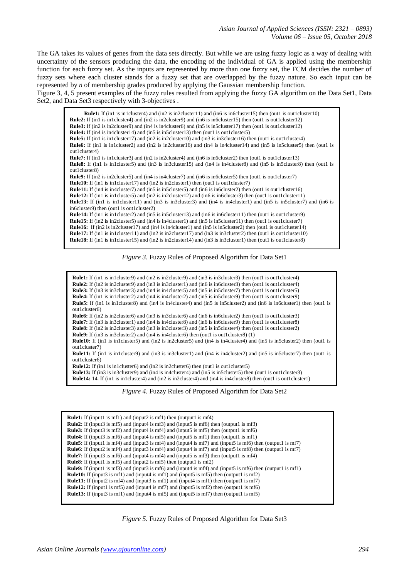The GA takes its values of genes from the data sets directly. But while we are using fuzzy logic as a way of dealing with uncertainty of the sensors producing the data, the encoding of the individual of GA is applied using the membership function for each fuzzy set. As the inputs are represented by more than one fuzzy set, the FCM decides the number of fuzzy sets where each cluster stands for a fuzzy set that are overlapped by the fuzzy nature. So each input can be represented by *n* of membership grades produced by applying the Gaussian membership function.

Figure 3, 4, 5 present examples of the fuzzy rules resulted from applying the fuzzy GA algorithm on the Data Set1, Data Set2, and Data Set3 respectively with 3-objectives .

**Rule1:** If (in1 is in1cluster4) and (in2 is in2cluster11) and (in6 is in6cluster15) then (out1 is out1cluster10) **Rule2:** If (in1 is in1cluster4) and (in2 is in2cluster9) and (in6 is in6cluster15) then (out1 is out1cluster12) **Rule3:** If (in2 is in2cluster9) and (in4 is in4cluster6) and (in5 is in5cluster17) then (out1 is out1cluster12) **Rule4:** If (in4 is in4cluster14) and (in5 is in5cluster13) then (out1 is out1cluster5) **Rule5:** If (in1 is in1cluster17) and (in2 is in2cluster10) and (in3 is in3cluster16) then (out1 is out1cluster4) **Rule6:** If (in1 is in1cluster2) and (in2 is in2cluster16) and (in4 is in4cluster14) and (in5 is in5cluster5) then (out1 is out1cluster4) **Rule7:** If (in1 is in1cluster3) and (in2 is in2cluster4) and (in6 is in6cluster2) then (out1 is out1cluster13) **Rule8:** If (in1 is in1cluster5) and (in3 is in3cluster15) and (in4 is in4cluster8) and (in5 is in5cluster8) then (out1 is out1cluster8) **Rule9:** If (in2 is in2cluster5) and (in4 is in4cluster7) and (in6 is in6cluster5) then (out1 is out1cluster7) **Rule10:** If (in1 is in1cluster17) and (in2 is in2cluster1) then (out1 is out1cluster7) **Rule11:** If (in4 is in4cluster7) and (in5 is in5cluster5) and (in6 is in6cluster2) then (out1 is out1cluster16) **Rule12:** If (in1 is in1cluster5) and (in2 is in2cluster12) and (in6 is in6cluster3) then (out1 is out1cluster11) **Rule13:** If (in1 is in1cluster11) and (in3 is in3cluster3) and (in4 is in4cluster1) and (in5 is in5cluster7) and (in6 is in6cluster9) then (out1 is out1cluster2) **Rule14:** If (in1 is in1cluster2) and (in5 is in5cluster13) and (in6 is in6cluster11) then (out1 is out1cluster9) **Rule15:** If (in2 is in2cluster5) and (in4 is in4cluster1) and (in5 is in5cluster11) then (out1 is out1cluster7) **Rule16:** If (in2 is in2cluster17) and (in4 is in4cluster1) and (in5 is in5cluster2) then (out1 is out1cluster14) **Rule17:** If (in1 is in1cluster11) and (in2 is in2cluster17) and (in3 is in3cluster2) then (out1 is out1cluster10) **Rule18:** If (in1 is in1cluster15) and (in2 is in2cluster14) and (in3 is in3cluster1) then (out1 is out1cluster8)

### *Figure 3.* Fuzzy Rules of Proposed Algorithm for Data Set1

**Rule1:** If (in1 is in1cluster9) and (in2 is in2cluster9) and (in3 is in3cluster3) then (out1 is out1cluster4) **Rule2:** If (in2 is in2cluster9) and (in3 is in3cluster1) and (in6 is in6cluster3) then (out1 is out1cluster4) **Rule3:** If (in3 is in3cluster3) and (in4 is in4cluster5) and (in5 is in5cluster7) then (out1 is out1cluster5) **Rule4:** If (in1 is in1cluster2) and (in4 is in4cluster2) and (in5 is in5cluster9) then (out1 is out1cluster9) **Rule5:** If (in1 is in1cluster8) and (in4 is in4cluster4) and (in5 is in5cluster2) and (in6 is in6cluster1) then (out1 is out1cluster6) **Rule6:** If (in2 is in2cluster6) and (in3 is in3cluster6) and (in6 is in6cluster2) then (out1 is out1cluster3) **Rule7:** If (in3 is in3cluster1) and (in4 is in4cluster8) and (in6 is in6cluster9) then (out1 is out1cluster8) **Rule8:** If (in2 is in2cluster3) and (in3 is in3cluster3) and (in5 is in5cluster4) then (out1 is out1cluster2) **Rule9:** If (in3 is in3cluster2) and (in4 is in4cluster6) then (out1 is out1cluster8) (1) **Rule10:** If (in1 is in1cluster5) and (in2 is in2cluster5) and (in4 is in4cluster4) and (in5 is in5cluster2) then (out1 is out1cluster7) **Rule11:** If (in1 is in1cluster9) and (in3 is in3cluster1) and (in4 is in4cluster2) and (in5 is in5cluster7) then (out1 is out1cluster6) **Rule12:** If (in1 is in1cluster6) and (in2 is in2cluster6) then (out1 is out1cluster5) **Rule13:** If (in3 is in3cluster9) and (in4 is in4cluster4) and (in5 is in5cluster5) then (out1 is out1cluster3) **Rule14:** 14. If (in1 is in1cluster4) and (in2 is in2cluster4) and (in4 is in4cluster8) then (out1 is out1cluster1)

*Figure 4.* Fuzzy Rules of Proposed Algorithm for Data Set2

**Rule1:** If (input1 is mf1) and (input2 is mf1) then (output1 is mf4) **Rule2:** If (input3 is mf5) and (input4 is mf3) and (input5 is mf6) then (output1 is mf3) **Rule3:** If (input3 is mf2) and (input4 is mf4) and (input5 is mf5) then (output1 is mf6) **Rule4:** If (input3 is mf6) and (input4 is mf5) and (input5 is mf1) then (output1 is mf1) **Rule5:** If (input1 is mf4) and (input3 is mf4) and (input4 is mf7) and (input5 is mf6) then (output1 is mf7) **Rule6:** If (input2 is mf4) and (input3 is mf4) and (input4 is mf7) and (input5 is mf8) then (output1 is mf7) **Rule7:** If (input3 is mf6) and (input4 is mf4) and (input5 is mf3) then (output1 is mf4) **Rule8:** If (input1 is mf5) and (input2 is mf5) then (output1 is mf2) **Rule9:** If (input1 is mf3) and (input3 is mf6) and (input4 is mf4) and (input5 is mf6) then (output1 is mf1) **Rule10:** If (input3 is mf1) and (input4 is mf1) and (input5 is mf5) then (output1 is mf2) **Rule11:** If (input2 is mf4) and (input3 is mf1) and (input4 is mf1) then (output1 is mf7) **Rule12:** If (input1 is mf5) and (input4 is mf7) and (input5 is mf2) then (output1 is mf6) **Rule13:** If (input3 is mf1) and (input4 is mf5) and (input5 is mf7) then (output1 is mf5)

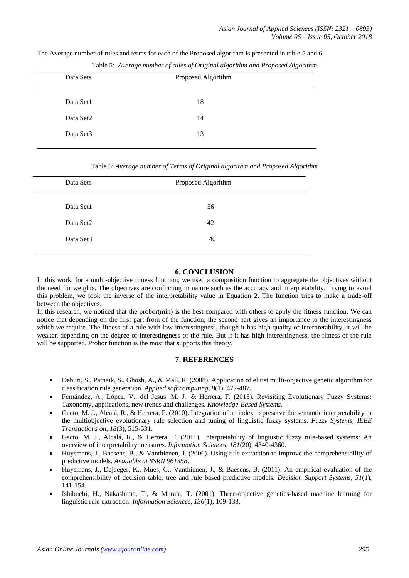The Average number of rules and terms for each of the Proposed algorithm is presented in table 5 and 6.

| Data Sets             | Proposed Algorithm |  |
|-----------------------|--------------------|--|
| Data Set1             | 18                 |  |
| Data Set2             | 14                 |  |
| Data Set <sub>3</sub> | 13                 |  |
|                       |                    |  |

Table 5: *Average number of rules of Original algorithm and Proposed Algorithm*

Table 6: *Average number of Terms of Original algorithm and Proposed Algorithm*

| Data Sets | Proposed Algorithm |  |
|-----------|--------------------|--|
| Data Set1 | 56                 |  |
| Data Set2 | 42                 |  |
| Data Set3 | 40                 |  |
|           |                    |  |

# **6. CONCLUSION**

In this work, for a multi-objective fitness function, we used a composition function to aggregate the objectives without the need for weights. The objectives are conflicting in nature such as the accuracy and interpretability. Trying to avoid this problem, we took the inverse of the interpretability value in Equation 2. The function tries to make a trade-off between the objectives.

In this research, we noticed that the probor(min) is the best compared with others to apply the fitness function. We can notice that depending on the first part from of the function, the second part gives an importance to the interestingness which we require. The fitness of a rule with low interestingness, though it has high quality or interpretability, it will be weaken depending on the degree of interestingness of the rule. But if it has high interestingness, the fitness of the rule will be supported. Probor function is the most that supports this theory.

# **7. REFERENCES**

- <span id="page-6-0"></span> Dehuri, S., Patnaik, S., Ghosh, A., & Mall, R. (2008). Application of elitist multi-objective genetic algorithm for classification rule generation. *Applied soft computing, 8*(1), 477-487.
- <span id="page-6-3"></span> Fernández, A., López, V., del Jesus, M. J., & Herrera, F. (2015). Revisiting Evolutionary Fuzzy Systems: Taxonomy, applications, new trends and challenges. *Knowledge-Based Systems*.
- <span id="page-6-1"></span> Gacto, M. J., Alcalá, R., & Herrera, F. (2010). Integration of an index to preserve the semantic interpretability in the multiobjective evolutionary rule selection and tuning of linguistic fuzzy systems. *Fuzzy Systems, IEEE Transactions on, 18*(3), 515-531.
- <span id="page-6-4"></span> Gacto, M. J., Alcalá, R., & Herrera, F. (2011). Interpretability of linguistic fuzzy rule-based systems: An overview of interpretability measures. *Information Sciences, 181*(20), 4340-4360.
- <span id="page-6-5"></span> Huysmans, J., Baesens, B., & Vanthienen, J. (2006). Using rule extraction to improve the comprehensibility of predictive models. *Available at SSRN 961358*.
- <span id="page-6-6"></span> Huysmans, J., Dejaeger, K., Mues, C., Vanthienen, J., & Baesens, B. (2011). An empirical evaluation of the comprehensibility of decision table, tree and rule based predictive models. *Decision Support Systems, 51*(1), 141-154.
- <span id="page-6-2"></span> Ishibuchi, H., Nakashima, T., & Murata, T. (2001). Three-objective genetics-based machine learning for linguistic rule extraction. *Information Sciences, 136*(1), 109-133.